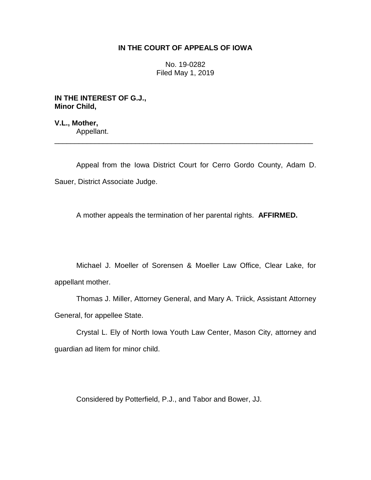# **IN THE COURT OF APPEALS OF IOWA**

No. 19-0282 Filed May 1, 2019

**IN THE INTEREST OF G.J., Minor Child,**

**V.L., Mother,** Appellant.

Appeal from the Iowa District Court for Cerro Gordo County, Adam D. Sauer, District Associate Judge.

\_\_\_\_\_\_\_\_\_\_\_\_\_\_\_\_\_\_\_\_\_\_\_\_\_\_\_\_\_\_\_\_\_\_\_\_\_\_\_\_\_\_\_\_\_\_\_\_\_\_\_\_\_\_\_\_\_\_\_\_\_\_\_\_

A mother appeals the termination of her parental rights. **AFFIRMED.**

Michael J. Moeller of Sorensen & Moeller Law Office, Clear Lake, for appellant mother.

Thomas J. Miller, Attorney General, and Mary A. Triick, Assistant Attorney General, for appellee State.

Crystal L. Ely of North Iowa Youth Law Center, Mason City, attorney and guardian ad litem for minor child.

Considered by Potterfield, P.J., and Tabor and Bower, JJ.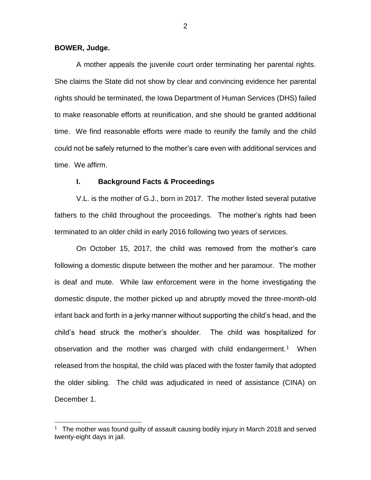#### **BOWER, Judge.**

 $\overline{a}$ 

A mother appeals the juvenile court order terminating her parental rights. She claims the State did not show by clear and convincing evidence her parental rights should be terminated, the Iowa Department of Human Services (DHS) failed to make reasonable efforts at reunification, and she should be granted additional time. We find reasonable efforts were made to reunify the family and the child could not be safely returned to the mother's care even with additional services and time. We affirm.

## **I. Background Facts & Proceedings**

V.L. is the mother of G.J., born in 2017. The mother listed several putative fathers to the child throughout the proceedings. The mother's rights had been terminated to an older child in early 2016 following two years of services.

On October 15, 2017, the child was removed from the mother's care following a domestic dispute between the mother and her paramour. The mother is deaf and mute. While law enforcement were in the home investigating the domestic dispute, the mother picked up and abruptly moved the three-month-old infant back and forth in a jerky manner without supporting the child's head, and the child's head struck the mother's shoulder. The child was hospitalized for observation and the mother was charged with child endangerment.<sup>1</sup> When released from the hospital, the child was placed with the foster family that adopted the older sibling. The child was adjudicated in need of assistance (CINA) on December 1.

<sup>1</sup> The mother was found guilty of assault causing bodily injury in March 2018 and served twenty-eight days in jail.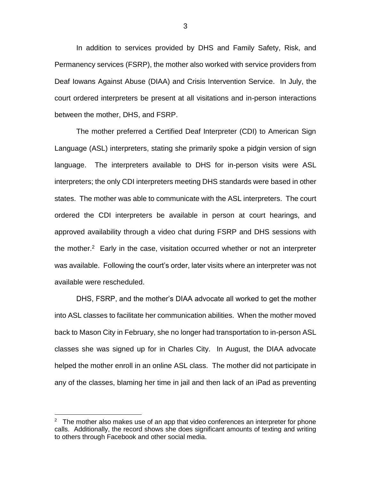In addition to services provided by DHS and Family Safety, Risk, and Permanency services (FSRP), the mother also worked with service providers from Deaf Iowans Against Abuse (DIAA) and Crisis Intervention Service. In July, the court ordered interpreters be present at all visitations and in-person interactions between the mother, DHS, and FSRP.

The mother preferred a Certified Deaf Interpreter (CDI) to American Sign Language (ASL) interpreters, stating she primarily spoke a pidgin version of sign language. The interpreters available to DHS for in-person visits were ASL interpreters; the only CDI interpreters meeting DHS standards were based in other states. The mother was able to communicate with the ASL interpreters. The court ordered the CDI interpreters be available in person at court hearings, and approved availability through a video chat during FSRP and DHS sessions with the mother.<sup>2</sup> Early in the case, visitation occurred whether or not an interpreter was available. Following the court's order, later visits where an interpreter was not available were rescheduled.

DHS, FSRP, and the mother's DIAA advocate all worked to get the mother into ASL classes to facilitate her communication abilities. When the mother moved back to Mason City in February, she no longer had transportation to in-person ASL classes she was signed up for in Charles City. In August, the DIAA advocate helped the mother enroll in an online ASL class. The mother did not participate in any of the classes, blaming her time in jail and then lack of an iPad as preventing

 $\overline{a}$ 

<sup>&</sup>lt;sup>2</sup> The mother also makes use of an app that video conferences an interpreter for phone calls. Additionally, the record shows she does significant amounts of texting and writing to others through Facebook and other social media.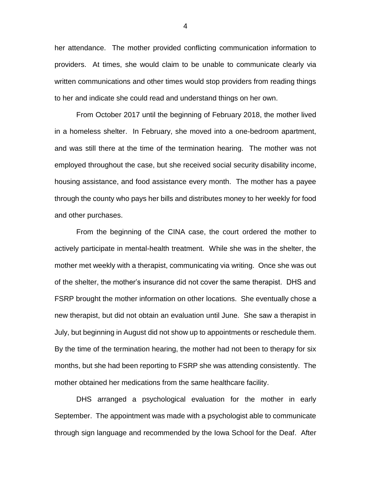her attendance. The mother provided conflicting communication information to providers. At times, she would claim to be unable to communicate clearly via written communications and other times would stop providers from reading things to her and indicate she could read and understand things on her own.

From October 2017 until the beginning of February 2018, the mother lived in a homeless shelter. In February, she moved into a one-bedroom apartment, and was still there at the time of the termination hearing. The mother was not employed throughout the case, but she received social security disability income, housing assistance, and food assistance every month. The mother has a payee through the county who pays her bills and distributes money to her weekly for food and other purchases.

From the beginning of the CINA case, the court ordered the mother to actively participate in mental-health treatment. While she was in the shelter, the mother met weekly with a therapist, communicating via writing. Once she was out of the shelter, the mother's insurance did not cover the same therapist. DHS and FSRP brought the mother information on other locations. She eventually chose a new therapist, but did not obtain an evaluation until June. She saw a therapist in July, but beginning in August did not show up to appointments or reschedule them. By the time of the termination hearing, the mother had not been to therapy for six months, but she had been reporting to FSRP she was attending consistently. The mother obtained her medications from the same healthcare facility.

DHS arranged a psychological evaluation for the mother in early September. The appointment was made with a psychologist able to communicate through sign language and recommended by the Iowa School for the Deaf. After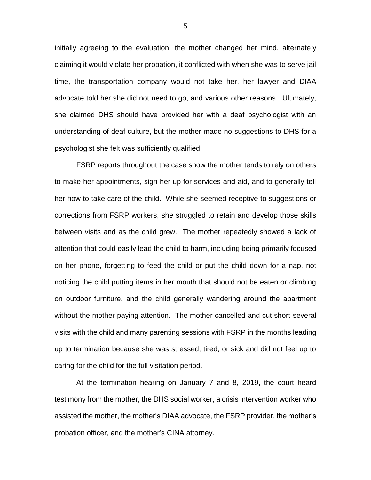initially agreeing to the evaluation, the mother changed her mind, alternately claiming it would violate her probation, it conflicted with when she was to serve jail time, the transportation company would not take her, her lawyer and DIAA advocate told her she did not need to go, and various other reasons. Ultimately, she claimed DHS should have provided her with a deaf psychologist with an understanding of deaf culture, but the mother made no suggestions to DHS for a psychologist she felt was sufficiently qualified.

FSRP reports throughout the case show the mother tends to rely on others to make her appointments, sign her up for services and aid, and to generally tell her how to take care of the child. While she seemed receptive to suggestions or corrections from FSRP workers, she struggled to retain and develop those skills between visits and as the child grew. The mother repeatedly showed a lack of attention that could easily lead the child to harm, including being primarily focused on her phone, forgetting to feed the child or put the child down for a nap, not noticing the child putting items in her mouth that should not be eaten or climbing on outdoor furniture, and the child generally wandering around the apartment without the mother paying attention. The mother cancelled and cut short several visits with the child and many parenting sessions with FSRP in the months leading up to termination because she was stressed, tired, or sick and did not feel up to caring for the child for the full visitation period.

At the termination hearing on January 7 and 8, 2019, the court heard testimony from the mother, the DHS social worker, a crisis intervention worker who assisted the mother, the mother's DIAA advocate, the FSRP provider, the mother's probation officer, and the mother's CINA attorney.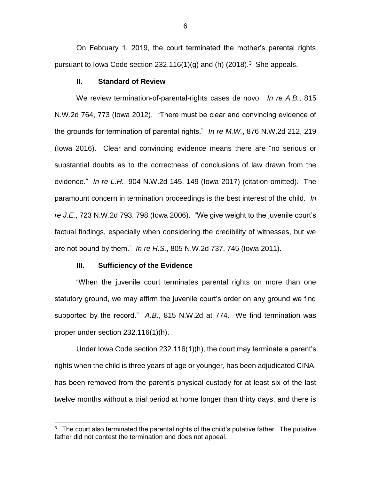On February 1, 2019, the court terminated the mother's parental rights pursuant to lowa Code section 232.116(1)(g) and (h) (2018).<sup>3</sup> She appeals.

## **II. Standard of Review**

We review termination-of-parental-rights cases de novo. *In re A.B.*, 815 N.W.2d 764, 773 (Iowa 2012). "There must be clear and convincing evidence of the grounds for termination of parental rights." *In re M.W.*, 876 N.W.2d 212, 219 (Iowa 2016). Clear and convincing evidence means there are "no serious or substantial doubts as to the correctness of conclusions of law drawn from the evidence." *In re L.H.*, 904 N.W.2d 145, 149 (Iowa 2017) (citation omitted). The paramount concern in termination proceedings is the best interest of the child. *In re J.E.*, 723 N.W.2d 793, 798 (Iowa 2006). "We give weight to the juvenile court's factual findings, especially when considering the credibility of witnesses, but we are not bound by them." *In re H.S.*, 805 N.W.2d 737, 745 (Iowa 2011).

#### **III. Sufficiency of the Evidence**

 $\overline{a}$ 

"When the juvenile court terminates parental rights on more than one statutory ground, we may affirm the juvenile court's order on any ground we find supported by the record." *A.B.*, 815 N.W.2d at 774. We find termination was proper under section 232.116(1)(h).

Under Iowa Code section 232.116(1)(h), the court may terminate a parent's rights when the child is three years of age or younger, has been adjudicated CINA, has been removed from the parent's physical custody for at least six of the last twelve months without a trial period at home longer than thirty days, and there is

 $3$  The court also terminated the parental rights of the child's putative father. The putative father did not contest the termination and does not appeal.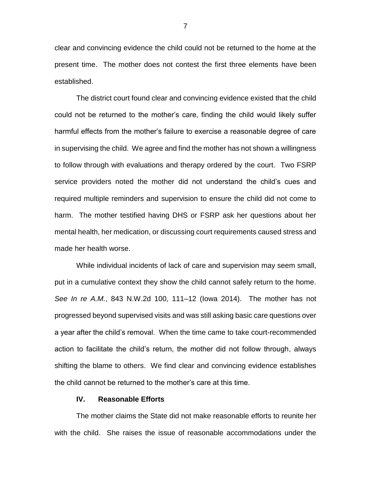clear and convincing evidence the child could not be returned to the home at the present time. The mother does not contest the first three elements have been established.

The district court found clear and convincing evidence existed that the child could not be returned to the mother's care, finding the child would likely suffer harmful effects from the mother's failure to exercise a reasonable degree of care in supervising the child. We agree and find the mother has not shown a willingness to follow through with evaluations and therapy ordered by the court. Two FSRP service providers noted the mother did not understand the child's cues and required multiple reminders and supervision to ensure the child did not come to harm. The mother testified having DHS or FSRP ask her questions about her mental health, her medication, or discussing court requirements caused stress and made her health worse.

While individual incidents of lack of care and supervision may seem small, put in a cumulative context they show the child cannot safely return to the home. *See In re A.M.*, 843 N.W.2d 100, 111–12 (Iowa 2014). The mother has not progressed beyond supervised visits and was still asking basic care questions over a year after the child's removal. When the time came to take court-recommended action to facilitate the child's return, the mother did not follow through, always shifting the blame to others. We find clear and convincing evidence establishes the child cannot be returned to the mother's care at this time.

## **IV. Reasonable Efforts**

The mother claims the State did not make reasonable efforts to reunite her with the child. She raises the issue of reasonable accommodations under the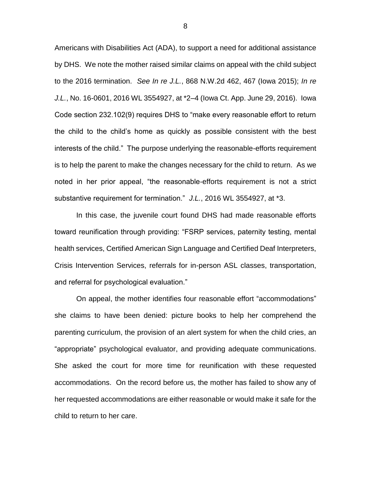Americans with Disabilities Act (ADA), to support a need for additional assistance by DHS. We note the mother raised similar claims on appeal with the child subject to the 2016 termination. *See In re J.L.*, 868 N.W.2d 462, 467 (Iowa 2015); *In re J.L.*, No. 16-0601, 2016 WL 3554927, at \*2–4 (Iowa Ct. App. June 29, 2016). Iowa Code section 232.102(9) requires DHS to "make every reasonable effort to return the child to the child's home as quickly as possible consistent with the best interests of the child." The purpose underlying the reasonable-efforts requirement is to help the parent to make the changes necessary for the child to return. As we noted in her prior appeal, "the reasonable-efforts requirement is not a strict substantive requirement for termination." *J.L.*, 2016 WL 3554927, at \*3.

In this case, the juvenile court found DHS had made reasonable efforts toward reunification through providing: "FSRP services, paternity testing, mental health services, Certified American Sign Language and Certified Deaf Interpreters, Crisis Intervention Services, referrals for in-person ASL classes, transportation, and referral for psychological evaluation."

On appeal, the mother identifies four reasonable effort "accommodations" she claims to have been denied: picture books to help her comprehend the parenting curriculum, the provision of an alert system for when the child cries, an "appropriate" psychological evaluator, and providing adequate communications. She asked the court for more time for reunification with these requested accommodations. On the record before us, the mother has failed to show any of her requested accommodations are either reasonable or would make it safe for the child to return to her care.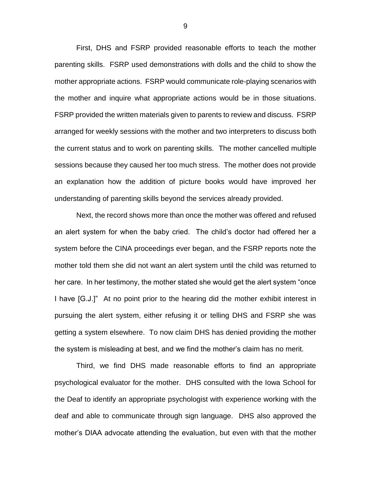First, DHS and FSRP provided reasonable efforts to teach the mother parenting skills. FSRP used demonstrations with dolls and the child to show the mother appropriate actions. FSRP would communicate role-playing scenarios with the mother and inquire what appropriate actions would be in those situations. FSRP provided the written materials given to parents to review and discuss. FSRP arranged for weekly sessions with the mother and two interpreters to discuss both the current status and to work on parenting skills. The mother cancelled multiple sessions because they caused her too much stress. The mother does not provide an explanation how the addition of picture books would have improved her understanding of parenting skills beyond the services already provided.

Next, the record shows more than once the mother was offered and refused an alert system for when the baby cried. The child's doctor had offered her a system before the CINA proceedings ever began, and the FSRP reports note the mother told them she did not want an alert system until the child was returned to her care. In her testimony, the mother stated she would get the alert system "once I have [G.J.]" At no point prior to the hearing did the mother exhibit interest in pursuing the alert system, either refusing it or telling DHS and FSRP she was getting a system elsewhere. To now claim DHS has denied providing the mother the system is misleading at best, and we find the mother's claim has no merit.

Third, we find DHS made reasonable efforts to find an appropriate psychological evaluator for the mother. DHS consulted with the Iowa School for the Deaf to identify an appropriate psychologist with experience working with the deaf and able to communicate through sign language. DHS also approved the mother's DIAA advocate attending the evaluation, but even with that the mother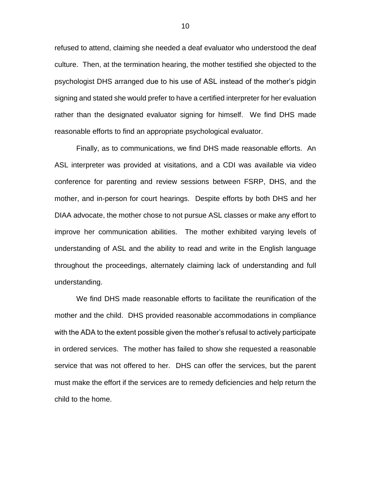refused to attend, claiming she needed a deaf evaluator who understood the deaf culture. Then, at the termination hearing, the mother testified she objected to the psychologist DHS arranged due to his use of ASL instead of the mother's pidgin signing and stated she would prefer to have a certified interpreter for her evaluation rather than the designated evaluator signing for himself. We find DHS made reasonable efforts to find an appropriate psychological evaluator.

Finally, as to communications, we find DHS made reasonable efforts. An ASL interpreter was provided at visitations, and a CDI was available via video conference for parenting and review sessions between FSRP, DHS, and the mother, and in-person for court hearings. Despite efforts by both DHS and her DIAA advocate, the mother chose to not pursue ASL classes or make any effort to improve her communication abilities. The mother exhibited varying levels of understanding of ASL and the ability to read and write in the English language throughout the proceedings, alternately claiming lack of understanding and full understanding.

We find DHS made reasonable efforts to facilitate the reunification of the mother and the child. DHS provided reasonable accommodations in compliance with the ADA to the extent possible given the mother's refusal to actively participate in ordered services. The mother has failed to show she requested a reasonable service that was not offered to her. DHS can offer the services, but the parent must make the effort if the services are to remedy deficiencies and help return the child to the home.